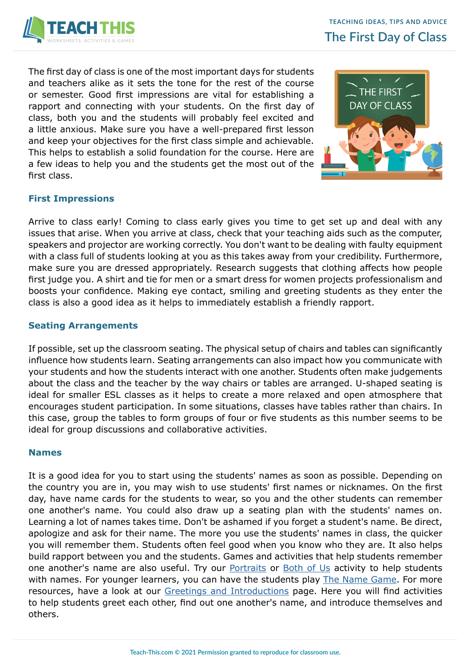

The first day of class is one of the most important days for students and teachers alike as it sets the tone for the rest of the course or semester. Good first impressions are vital for establishing a rapport and connecting with your students. On the first day of class, both you and the students will probably feel excited and a little anxious. Make sure you have a well-prepared first lesson and keep your objectives for the first class simple and achievable. This helps to establish a solid foundation for the course. Here are a few ideas to help you and the students get the most out of the first class.



# **First Impressions**

Arrive to class early! Coming to class early gives you time to get set up and deal with any issues that arise. When you arrive at class, check that your teaching aids such as the computer, speakers and projector are working correctly. You don't want to be dealing with faulty equipment with a class full of students looking at you as this takes away from your credibility. Furthermore, make sure you are dressed appropriately. Research suggests that clothing affects how people first judge you. A shirt and tie for men or a smart dress for women projects professionalism and boosts your confidence. Making eye contact, smiling and greeting students as they enter the class is also a good idea as it helps to immediately establish a friendly rapport.

## **Seating Arrangements**

If possible, set up the classroom seating. The physical setup of chairs and tables can significantly influence how students learn. Seating arrangements can also impact how you communicate with your students and how the students interact with one another. Students often make judgements about the class and the teacher by the way chairs or tables are arranged. U-shaped seating is ideal for smaller ESL classes as it helps to create a more relaxed and open atmosphere that encourages student participation. In some situations, classes have tables rather than chairs. In this case, group the tables to form groups of four or five students as this number seems to be ideal for group discussions and collaborative activities.

## **Names**

It is a good idea for you to start using the students' names as soon as possible. Depending on the country you are in, you may wish to use students' first names or nicknames. On the first day, have name cards for the students to wear, so you and the other students can remember one another's name. You could also draw up a seating plan with the students' names on. Learning a lot of names takes time. Don't be ashamed if you forget a student's name. Be direct, apologize and ask for their name. The more you use the students' names in class, the quicker you will remember them. Students often feel good when you know who they are. It also helps build rapport between you and the students. Games and activities that help students remember one another's name are also useful. Try our [Portraits](https://www.teach-this.com/functional-activities-worksheets/introductions) or [Both of Us](https://www.teach-this.com/functional-activities-worksheets/small-talk) activity to help students with names. For younger learners, you can have the students play [The Name Game](https://www.teach-this.com/images/games/the-name-game.pdf). For more resources, have a look at our [Greetings and Introductions](https://www.teach-this.com/functional-activities-worksheets/introductions) page. Here you will find activities to help students greet each other, find out one another's name, and introduce themselves and others.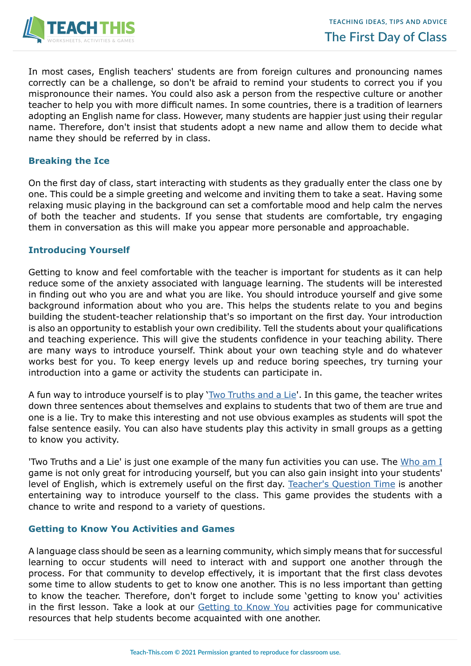

In most cases, English teachers' students are from foreign cultures and pronouncing names correctly can be a challenge, so don't be afraid to remind your students to correct you if you mispronounce their names. You could also ask a person from the respective culture or another teacher to help you with more difficult names. In some countries, there is a tradition of learners adopting an English name for class. However, many students are happier just using their regular name. Therefore, don't insist that students adopt a new name and allow them to decide what name they should be referred by in class.

# **Breaking the Ice**

On the first day of class, start interacting with students as they gradually enter the class one by one. This could be a simple greeting and welcome and inviting them to take a seat. Having some relaxing music playing in the background can set a comfortable mood and help calm the nerves of both the teacher and students. If you sense that students are comfortable, try engaging them in conversation as this will make you appear more personable and approachable.

## **Introducing Yourself**

Getting to know and feel comfortable with the teacher is important for students as it can help reduce some of the anxiety associated with language learning. The students will be interested in finding out who you are and what you are like. You should introduce yourself and give some background information about who you are. This helps the students relate to you and begins building the student-teacher relationship that's so important on the first day. Your introduction is also an opportunity to establish your own credibility. Tell the students about your qualifications and teaching experience. This will give the students confidence in your teaching ability. There are many ways to introduce yourself. Think about your own teaching style and do whatever works best for you. To keep energy levels up and reduce boring speeches, try turning your introduction into a game or activity the students can participate in.

A fun way to introduce yourself is to play '[Two Truths and a Lie](https://www.teach-this.com/images/games/two-truths-and-a-lie.pdf)'. In this game, the teacher writes down three sentences about themselves and explains to students that two of them are true and one is a lie. Try to make this interesting and not use obvious examples as students will spot the false sentence easily. You can also have students play this activity in small groups as a getting to know you activity.

'Two Truths and a Lie' is just one example of the many fun activities you can use. The [Who am I](https://www.teach-this.com/images/games/who-am-i.pdf) game is not only great for introducing yourself, but you can also gain insight into your students' level of English, which is extremely useful on the first day. [Teacher's Question Time](https://www.teach-this.com/images/games/teachers-question-time.pdf) is another entertaining way to introduce yourself to the class. This game provides the students with a chance to write and respond to a variety of questions.

## **Getting to Know You Activities and Games**

A language class should be seen as a learning community, which simply means that for successful learning to occur students will need to interact with and support one another through the process. For that community to develop effectively, it is important that the first class devotes some time to allow students to get to know one another. This is no less important than getting to know the teacher. Therefore, don't forget to include some 'getting to know you' activities in the first lesson. Take a look at our [Getting to Know You](https://www.teach-this.com/functional-activities-worksheets/getting-to-know-you) activities page for communicative resources that help students become acquainted with one another.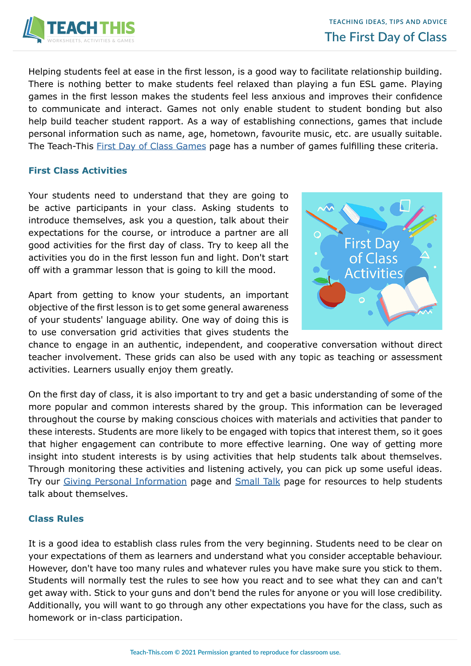

Helping students feel at ease in the first lesson, is a good way to facilitate relationship building. There is nothing better to make students feel relaxed than playing a fun ESL game. Playing games in the first lesson makes the students feel less anxious and improves their confidence to communicate and interact. Games not only enable student to student bonding but also help build teacher student rapport. As a way of establishing connections, games that include personal information such as name, age, hometown, favourite music, etc. are usually suitable. The Teach-This [First Day of Class Games](https://www.teach-this.com/esl-games/first-day-introduction-games) page has a number of games fulfilling these criteria.

## **First Class Activities**

Your students need to understand that they are going to be active participants in your class. Asking students to introduce themselves, ask you a question, talk about their expectations for the course, or introduce a partner are all good activities for the first day of class. Try to keep all the activities you do in the first lesson fun and light. Don't start off with a grammar lesson that is going to kill the mood.

Apart from getting to know your students, an important objective of the first lesson is to get some general awareness of your students' language ability. One way of doing this is to use conversation grid activities that gives students the



chance to engage in an authentic, independent, and cooperative conversation without direct teacher involvement. These grids can also be used with any topic as teaching or assessment activities. Learners usually enjoy them greatly.

On the first day of class, it is also important to try and get a basic understanding of some of the more popular and common interests shared by the group. This information can be leveraged throughout the course by making conscious choices with materials and activities that pander to these interests. Students are more likely to be engaged with topics that interest them, so it goes that higher engagement can contribute to more effective learning. One way of getting more insight into student interests is by using activities that help students talk about themselves. Through monitoring these activities and listening actively, you can pick up some useful ideas. Try our [Giving Personal Information](https://www.teach-this.com/functional-activities-worksheets/personal-information) page and [Small Talk](https://www.teach-this.com/functional-activities-worksheets/small-talk) page for resources to help students talk about themselves.

## **Class Rules**

It is a good idea to establish class rules from the very beginning. Students need to be clear on your expectations of them as learners and understand what you consider acceptable behaviour. However, don't have too many rules and whatever rules you have make sure you stick to them. Students will normally test the rules to see how you react and to see what they can and can't get away with. Stick to your guns and don't bend the rules for anyone or you will lose credibility. Additionally, you will want to go through any other expectations you have for the class, such as homework or in-class participation.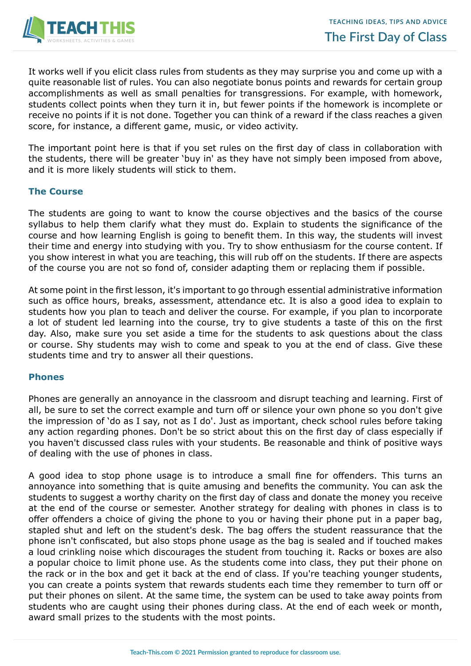

It works well if you elicit class rules from students as they may surprise you and come up with a quite reasonable list of rules. You can also negotiate bonus points and rewards for certain group accomplishments as well as small penalties for transgressions. For example, with homework, students collect points when they turn it in, but fewer points if the homework is incomplete or receive no points if it is not done. Together you can think of a reward if the class reaches a given score, for instance, a different game, music, or video activity.

The important point here is that if you set rules on the first day of class in collaboration with the students, there will be greater 'buy in' as they have not simply been imposed from above, and it is more likely students will stick to them.

## **The Course**

The students are going to want to know the course objectives and the basics of the course syllabus to help them clarify what they must do. Explain to students the significance of the course and how learning English is going to benefit them. In this way, the students will invest their time and energy into studying with you. Try to show enthusiasm for the course content. If you show interest in what you are teaching, this will rub off on the students. If there are aspects of the course you are not so fond of, consider adapting them or replacing them if possible.

At some point in the first lesson, it's important to go through essential administrative information such as office hours, breaks, assessment, attendance etc. It is also a good idea to explain to students how you plan to teach and deliver the course. For example, if you plan to incorporate a lot of student led learning into the course, try to give students a taste of this on the first day. Also, make sure you set aside a time for the students to ask questions about the class or course. Shy students may wish to come and speak to you at the end of class. Give these students time and try to answer all their questions.

#### **Phones**

Phones are generally an annoyance in the classroom and disrupt teaching and learning. First of all, be sure to set the correct example and turn off or silence your own phone so you don't give the impression of 'do as I say, not as I do'. Just as important, check school rules before taking any action regarding phones. Don't be so strict about this on the first day of class especially if you haven't discussed class rules with your students. Be reasonable and think of positive ways of dealing with the use of phones in class.

A good idea to stop phone usage is to introduce a small fine for offenders. This turns an annoyance into something that is quite amusing and benefits the community. You can ask the students to suggest a worthy charity on the first day of class and donate the money you receive at the end of the course or semester. Another strategy for dealing with phones in class is to offer offenders a choice of giving the phone to you or having their phone put in a paper bag, stapled shut and left on the student's desk. The bag offers the student reassurance that the phone isn't confiscated, but also stops phone usage as the bag is sealed and if touched makes a loud crinkling noise which discourages the student from touching it. Racks or boxes are also a popular choice to limit phone use. As the students come into class, they put their phone on the rack or in the box and get it back at the end of class. If you're teaching younger students, you can create a points system that rewards students each time they remember to turn off or put their phones on silent. At the same time, the system can be used to take away points from students who are caught using their phones during class. At the end of each week or month, award small prizes to the students with the most points.